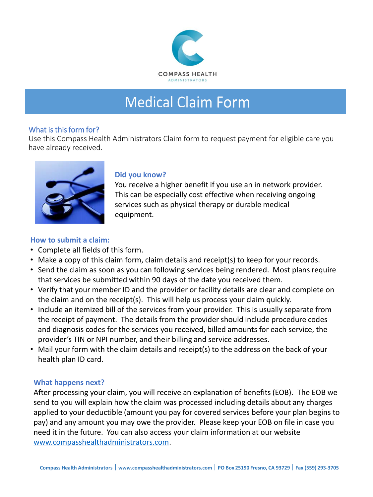

# **Medical Claim Form**

#### What is this form for?

Use this Compass Health Administrators Claim form to request payment for eligible care you have already received.



## **Did you know?**

You receive a higher benefit if you use an in network provider. This can be especially cost effective when receiving ongoing services such as physical therapy or durable medical equipment.

## **How to submit a claim:**

- Complete all fields of this form.
- Make a copy of this claim form, claim details and receipt(s) to keep for your records.
- Send the claim as soon as you can following services being rendered. Most plans require that services be submitted within 90 days of the date you received them.
- Verify that your member ID and the provider or facility details are clear and complete on the claim and on the receipt(s). This will help us process your claim quickly.
- Include an itemized bill of the services from your provider. This is usually separate from the receipt of payment. The details from the provider should include procedure codes and diagnosis codes for the services you received, billed amounts for each service, the provider's TIN or NPI number, and their billing and service addresses.
- Mail your form with the claim details and receipt(s) to the address on the back of your health plan ID card.

## **What happens next?**

After processing your claim, you will receive an explanation of benefits (EOB). The EOB we send to you will explain how the claim was processed including details about any charges applied to your deductible (amount you pay for covered services before your plan begins to pay) and any amount you may owe the provider. Please keep your EOB on file in case you need it in the future. You can also access your claim information at our website [www.compasshealthadministrators.com.](http://www.compasshealthadministrators.com/)